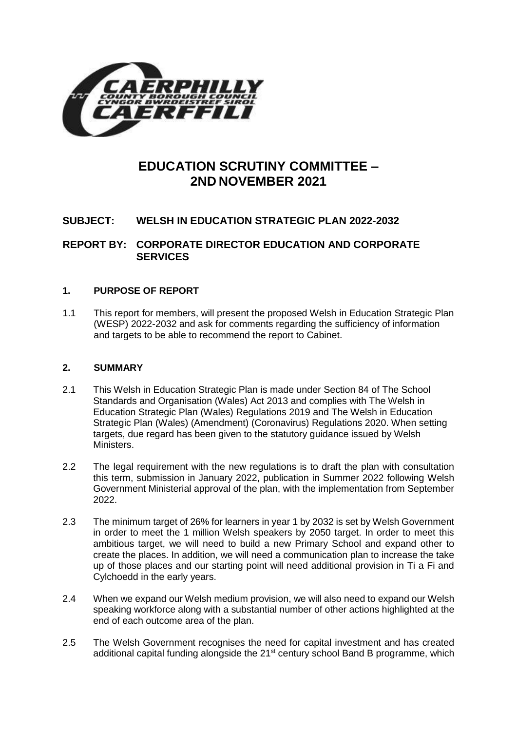

# **EDUCATION SCRUTINY COMMITTEE – 2ND NOVEMBER 2021**

# **SUBJECT: WELSH IN EDUCATION STRATEGIC PLAN 2022-2032**

# **REPORT BY: CORPORATE DIRECTOR EDUCATION AND CORPORATE SERVICES**

# **1. PURPOSE OF REPORT**

1.1 This report for members, will present the proposed Welsh in Education Strategic Plan (WESP) 2022-2032 and ask for comments regarding the sufficiency of information and targets to be able to recommend the report to Cabinet.

# **2. SUMMARY**

- 2.1 This Welsh in Education Strategic Plan is made under Section 84 of The School Standards and Organisation (Wales) Act 2013 and complies with The Welsh in Education Strategic Plan (Wales) Regulations 2019 and The Welsh in Education Strategic Plan (Wales) (Amendment) (Coronavirus) Regulations 2020. When setting targets, due regard has been given to the statutory guidance issued by Welsh Ministers.
- 2.2 The legal requirement with the new regulations is to draft the plan with consultation this term, submission in January 2022, publication in Summer 2022 following Welsh Government Ministerial approval of the plan, with the implementation from September 2022.
- 2.3 The minimum target of 26% for learners in year 1 by 2032 is set by Welsh Government in order to meet the 1 million Welsh speakers by 2050 target. In order to meet this ambitious target, we will need to build a new Primary School and expand other to create the places. In addition, we will need a communication plan to increase the take up of those places and our starting point will need additional provision in Ti a Fi and Cylchoedd in the early years.
- 2.4 When we expand our Welsh medium provision, we will also need to expand our Welsh speaking workforce along with a substantial number of other actions highlighted at the end of each outcome area of the plan.
- 2.5 The Welsh Government recognises the need for capital investment and has created additional capital funding alongside the 21<sup>st</sup> century school Band B programme, which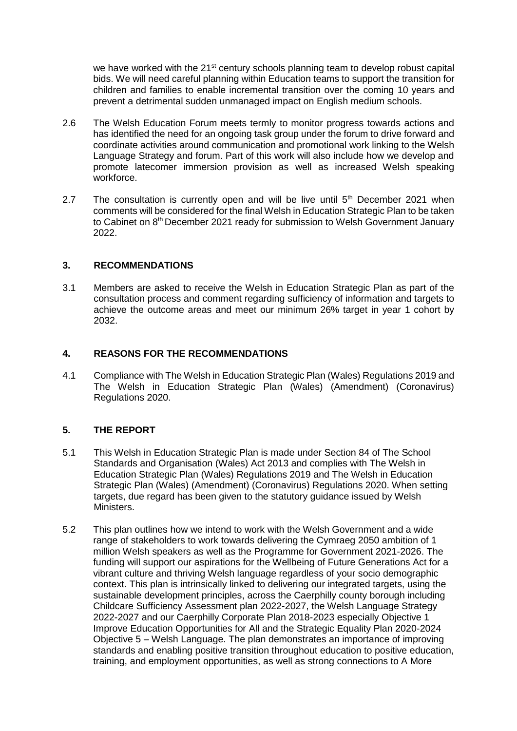we have worked with the 21<sup>st</sup> century schools planning team to develop robust capital bids. We will need careful planning within Education teams to support the transition for children and families to enable incremental transition over the coming 10 years and prevent a detrimental sudden unmanaged impact on English medium schools.

- 2.6 The Welsh Education Forum meets termly to monitor progress towards actions and has identified the need for an ongoing task group under the forum to drive forward and coordinate activities around communication and promotional work linking to the Welsh Language Strategy and forum. Part of this work will also include how we develop and promote latecomer immersion provision as well as increased Welsh speaking workforce.
- 2.7 The consultation is currently open and will be live until  $5<sup>th</sup>$  December 2021 when comments will be considered for the final Welsh in Education Strategic Plan to be taken to Cabinet on 8<sup>th</sup> December 2021 ready for submission to Welsh Government January 2022.

# **3. RECOMMENDATIONS**

3.1 Members are asked to receive the Welsh in Education Strategic Plan as part of the consultation process and comment regarding sufficiency of information and targets to achieve the outcome areas and meet our minimum 26% target in year 1 cohort by 2032.

# **4. REASONS FOR THE RECOMMENDATIONS**

4.1 Compliance with The Welsh in Education Strategic Plan (Wales) Regulations 2019 and The Welsh in Education Strategic Plan (Wales) (Amendment) (Coronavirus) Regulations 2020.

# **5. THE REPORT**

- 5.1 This Welsh in Education Strategic Plan is made under Section 84 of The School Standards and Organisation (Wales) Act 2013 and complies with The Welsh in Education Strategic Plan (Wales) Regulations 2019 and The Welsh in Education Strategic Plan (Wales) (Amendment) (Coronavirus) Regulations 2020. When setting targets, due regard has been given to the statutory guidance issued by Welsh Ministers.
- 5.2 This plan outlines how we intend to work with the Welsh Government and a wide range of stakeholders to work towards delivering the Cymraeg 2050 ambition of 1 million Welsh speakers as well as the Programme for Government 2021-2026. The funding will support our aspirations for the Wellbeing of Future Generations Act for a vibrant culture and thriving Welsh language regardless of your socio demographic context. This plan is intrinsically linked to delivering our integrated targets, using the sustainable development principles, across the Caerphilly county borough including Childcare Sufficiency Assessment plan 2022-2027, the Welsh Language Strategy 2022-2027 and our Caerphilly Corporate Plan 2018-2023 especially Objective 1 Improve Education Opportunities for All and the Strategic Equality Plan 2020-2024 Objective 5 – Welsh Language. The plan demonstrates an importance of improving standards and enabling positive transition throughout education to positive education, training, and employment opportunities, as well as strong connections to A More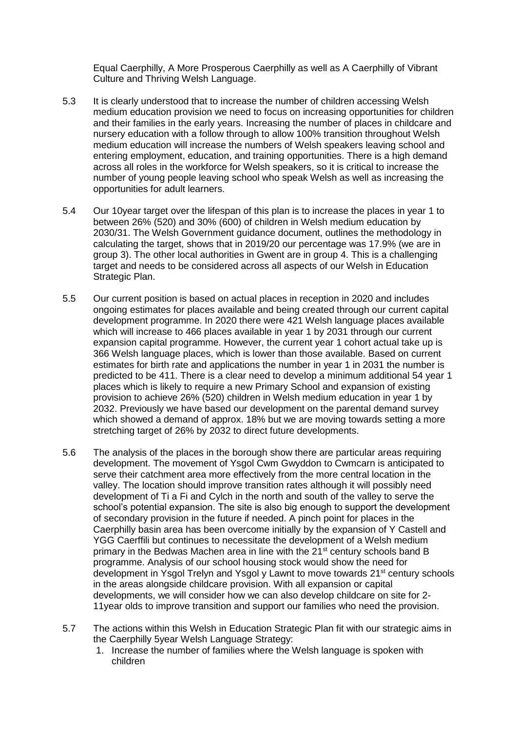Equal Caerphilly, A More Prosperous Caerphilly as well as A Caerphilly of Vibrant Culture and Thriving Welsh Language.

- 5.3 It is clearly understood that to increase the number of children accessing Welsh medium education provision we need to focus on increasing opportunities for children and their families in the early years. Increasing the number of places in childcare and nursery education with a follow through to allow 100% transition throughout Welsh medium education will increase the numbers of Welsh speakers leaving school and entering employment, education, and training opportunities. There is a high demand across all roles in the workforce for Welsh speakers, so it is critical to increase the number of young people leaving school who speak Welsh as well as increasing the opportunities for adult learners.
- 5.4 Our 10year target over the lifespan of this plan is to increase the places in year 1 to between 26% (520) and 30% (600) of children in Welsh medium education by 2030/31. The Welsh Government guidance document, outlines the methodology in calculating the target, shows that in 2019/20 our percentage was 17.9% (we are in group 3). The other local authorities in Gwent are in group 4. This is a challenging target and needs to be considered across all aspects of our Welsh in Education Strategic Plan.
- 5.5 Our current position is based on actual places in reception in 2020 and includes ongoing estimates for places available and being created through our current capital development programme. In 2020 there were 421 Welsh language places available which will increase to 466 places available in year 1 by 2031 through our current expansion capital programme. However, the current year 1 cohort actual take up is 366 Welsh language places, which is lower than those available. Based on current estimates for birth rate and applications the number in year 1 in 2031 the number is predicted to be 411. There is a clear need to develop a minimum additional 54 year 1 places which is likely to require a new Primary School and expansion of existing provision to achieve 26% (520) children in Welsh medium education in year 1 by 2032. Previously we have based our development on the parental demand survey which showed a demand of approx. 18% but we are moving towards setting a more stretching target of 26% by 2032 to direct future developments.
- 5.6 The analysis of the places in the borough show there are particular areas requiring development. The movement of Ysgol Cwm Gwyddon to Cwmcarn is anticipated to serve their catchment area more effectively from the more central location in the valley. The location should improve transition rates although it will possibly need development of Ti a Fi and Cylch in the north and south of the valley to serve the school's potential expansion. The site is also big enough to support the development of secondary provision in the future if needed. A pinch point for places in the Caerphilly basin area has been overcome initially by the expansion of Y Castell and YGG Caerffili but continues to necessitate the development of a Welsh medium primary in the Bedwas Machen area in line with the 21<sup>st</sup> century schools band B programme. Analysis of our school housing stock would show the need for development in Ysgol Trelyn and Ysgol y Lawnt to move towards 21<sup>st</sup> century schools in the areas alongside childcare provision. With all expansion or capital developments, we will consider how we can also develop childcare on site for 2- 11year olds to improve transition and support our families who need the provision.
- 5.7 The actions within this Welsh in Education Strategic Plan fit with our strategic aims in the Caerphilly 5year Welsh Language Strategy:
	- 1. Increase the number of families where the Welsh language is spoken with children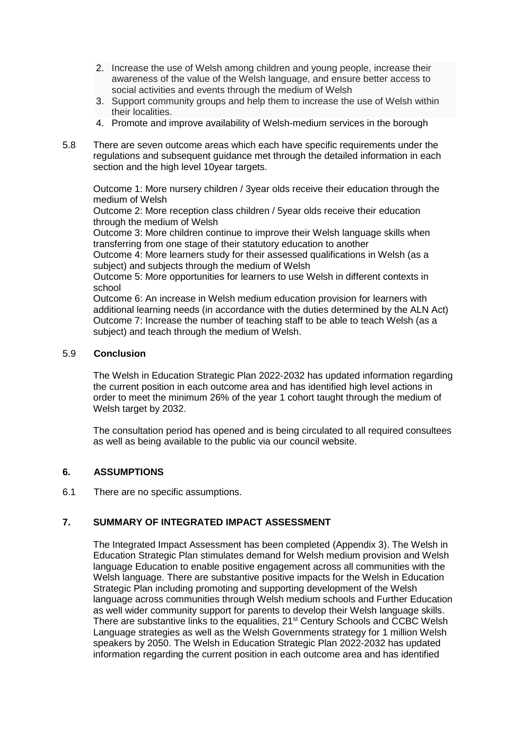- 2. Increase the use of Welsh among children and young people, increase their awareness of the value of the Welsh language, and ensure better access to social activities and events through the medium of Welsh
- 3. Support community groups and help them to increase the use of Welsh within their localities.
- 4. Promote and improve availability of Welsh-medium services in the borough
- 5.8 There are seven outcome areas which each have specific requirements under the regulations and subsequent guidance met through the detailed information in each section and the high level 10year targets.

Outcome 1: More nursery children / 3year olds receive their education through the medium of Welsh

Outcome 2: More reception class children / 5year olds receive their education through the medium of Welsh

Outcome 3: More children continue to improve their Welsh language skills when transferring from one stage of their statutory education to another

Outcome 4: More learners study for their assessed qualifications in Welsh (as a subject) and subjects through the medium of Welsh

Outcome 5: More opportunities for learners to use Welsh in different contexts in school

Outcome 6: An increase in Welsh medium education provision for learners with additional learning needs (in accordance with the duties determined by the ALN Act) Outcome 7: Increase the number of teaching staff to be able to teach Welsh (as a subject) and teach through the medium of Welsh.

#### 5.9 **Conclusion**

The Welsh in Education Strategic Plan 2022-2032 has updated information regarding the current position in each outcome area and has identified high level actions in order to meet the minimum 26% of the year 1 cohort taught through the medium of Welsh target by 2032.

The consultation period has opened and is being circulated to all required consultees as well as being available to the public via our council website.

#### **6. ASSUMPTIONS**

6.1 There are no specific assumptions.

# **7. SUMMARY OF INTEGRATED IMPACT ASSESSMENT**

The Integrated Impact Assessment has been completed (Appendix 3). The Welsh in Education Strategic Plan stimulates demand for Welsh medium provision and Welsh language Education to enable positive engagement across all communities with the Welsh language. There are substantive positive impacts for the Welsh in Education Strategic Plan including promoting and supporting development of the Welsh language across communities through Welsh medium schools and Further Education as well wider community support for parents to develop their Welsh language skills. There are substantive links to the equalities, 21<sup>st</sup> Century Schools and CCBC Welsh Language strategies as well as the Welsh Governments strategy for 1 million Welsh speakers by 2050. The Welsh in Education Strategic Plan 2022-2032 has updated information regarding the current position in each outcome area and has identified